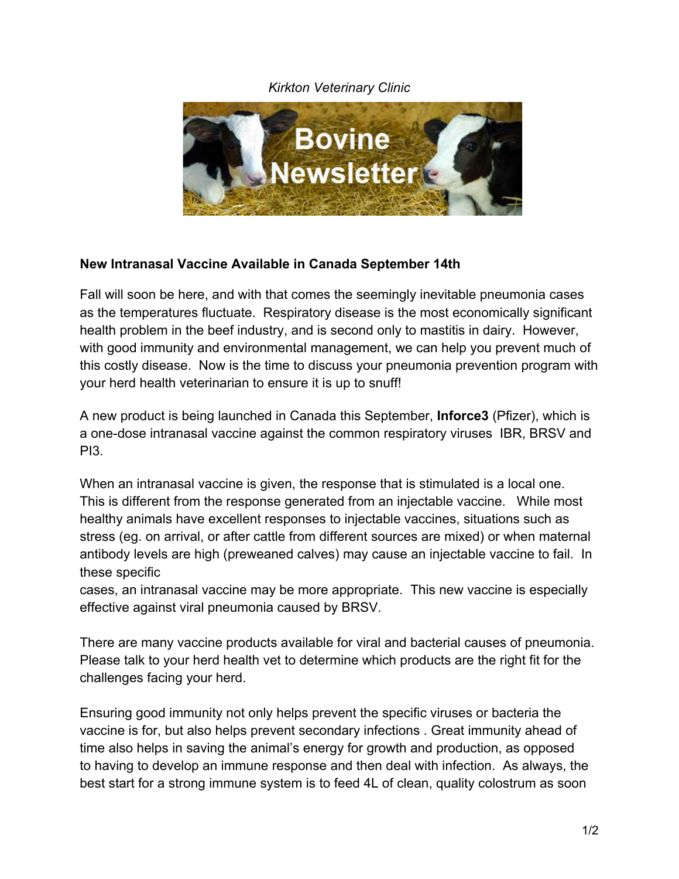## *Kirkton Veterinary Clinic*



## **New Intranasal Vaccine Available in Canada September 14th**

Fall will soon be here, and with that comes the seemingly inevitable pneumonia cases as the temperatures fluctuate. Respiratory disease is the most economically significant health problem in the beef industry, and is second only to mastitis in dairy. However, with good immunity and environmental management, we can help you prevent much of this costly disease. Now is the time to discuss your pneumonia prevention program with your herd health veterinarian to ensure it is up to snuff!

A new product is being launched in Canada this September, **Inforce3** (Pfizer), which is a one-dose intranasal vaccine against the common respiratory viruses IBR, BRSV and PI3.

When an intranasal vaccine is given, the response that is stimulated is a local one. This is different from the response generated from an injectable vaccine. While most healthy animals have excellent responses to injectable vaccines, situations such as stress (eg. on arrival, or after cattle from different sources are mixed) or when maternal antibody levels are high (preweaned calves) may cause an injectable vaccine to fail. In these specific

cases, an intranasal vaccine may be more appropriate. This new vaccine is especially effective against viral pneumonia caused by BRSV.

There are many vaccine products available for viral and bacterial causes of pneumonia. Please talk to your herd health vet to determine which products are the right fit for the challenges facing your herd.

Ensuring good immunity not only helps prevent the specific viruses or bacteria the vaccine is for, but also helps prevent secondary infections . Great immunity ahead of time also helps in saving the animal's energy for growth and production, as opposed to having to develop an immune response and then deal with infection. As always, the best start for a strong immune system is to feed 4L of clean, quality colostrum as soon